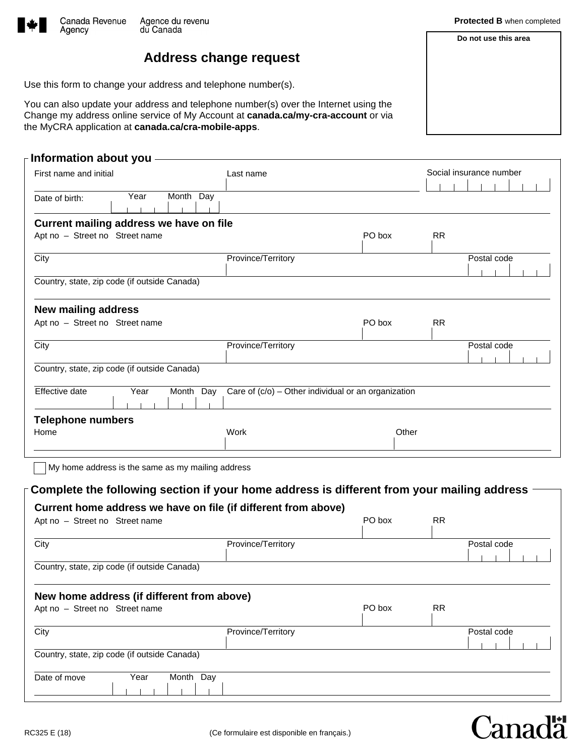

Agency

## **Address change request**

Use this form to change your address and telephone number(s).

You can also update your address and telephone number(s) over the Internet using the Change my address online service of My Account at **canada.ca/my-cra-account** or via the MyCRA application at **canada.ca/cra-mobile-apps**.

| First name and initial                       | Last name          |                                                     | Social insurance number |             |  |
|----------------------------------------------|--------------------|-----------------------------------------------------|-------------------------|-------------|--|
| Year<br>Date of birth:                       | Month Day          |                                                     |                         |             |  |
| Current mailing address we have on file      |                    |                                                     |                         |             |  |
| Apt no - Street no Street name               |                    | PO box                                              | <b>RR</b>               |             |  |
| City                                         | Province/Territory |                                                     |                         | Postal code |  |
| Country, state, zip code (if outside Canada) |                    |                                                     |                         |             |  |
| <b>New mailing address</b>                   |                    |                                                     |                         |             |  |
| Apt no - Street no Street name               |                    | PO box                                              | <b>RR</b>               |             |  |
| City                                         | Province/Territory |                                                     |                         | Postal code |  |
| Country, state, zip code (if outside Canada) |                    |                                                     |                         |             |  |
| Effective date<br>Year                       | Month Day          | Care of (c/o) - Other individual or an organization |                         |             |  |
| <b>Telephone numbers</b>                     |                    |                                                     |                         |             |  |
| Home                                         | Work               | Other                                               |                         |             |  |

|                                                                                                                                      | Current home address we have on file (if different from above) |        |           |             |
|--------------------------------------------------------------------------------------------------------------------------------------|----------------------------------------------------------------|--------|-----------|-------------|
| Apt no - Street no Street name                                                                                                       |                                                                | PO box | <b>RR</b> |             |
| City                                                                                                                                 | Province/Territory                                             |        |           | Postal code |
| Country, state, zip code (if outside Canada)                                                                                         |                                                                |        |           |             |
|                                                                                                                                      |                                                                |        |           |             |
|                                                                                                                                      |                                                                |        |           |             |
|                                                                                                                                      |                                                                | PO box | <b>RR</b> |             |
|                                                                                                                                      | Province/Territory                                             |        |           | Postal code |
| New home address (if different from above)<br>Apt no - Street no Street name<br>City<br>Country, state, zip code (if outside Canada) |                                                                |        |           |             |

**Do not use this area**